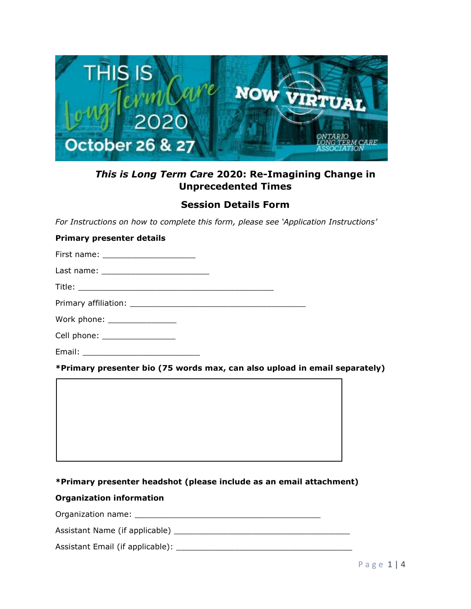

# *This is Long Term Care* **2020: Re-Imagining Change in Unprecedented Times**

## **Session Details Form**

*For Instructions on how to complete this form, please see 'Application Instructions'*

## **Primary presenter details**

First name: **Example** 

Last name: \_\_\_\_\_\_\_\_\_\_\_\_\_\_\_\_\_\_\_\_\_\_

Title: \_\_\_\_\_\_\_\_\_\_\_\_\_\_\_\_\_\_\_\_\_\_\_\_\_\_\_\_\_\_\_\_\_\_\_\_\_\_\_\_

Primary affiliation: \_\_\_\_\_\_\_\_\_\_\_\_\_\_\_\_\_\_\_\_\_\_\_\_\_\_\_\_\_\_\_\_\_\_\_\_

Work phone: \_\_\_\_\_\_\_\_\_\_\_\_\_\_\_\_\_\_\_

Cell phone: \_\_\_\_\_\_\_\_\_\_\_\_\_\_\_

Email: \_\_\_\_\_\_\_\_\_\_\_\_\_\_\_\_\_\_\_\_\_\_\_\_

**\*Primary presenter bio (75 words max, can also upload in email separately)**

## **\*Primary presenter headshot (please include as an email attachment)**

### **Organization information**

Organization name: \_\_\_\_\_\_\_\_\_\_\_\_\_\_\_\_\_\_\_\_\_\_\_\_\_\_\_\_\_\_\_\_\_\_\_\_\_\_

Assistant Name (if applicable) \_\_\_\_\_\_\_\_\_\_\_\_\_\_\_\_\_\_\_\_\_\_\_\_\_\_\_\_\_\_\_\_\_\_\_\_

Assistant Email (if applicable): \_\_\_\_\_\_\_\_\_\_\_\_\_\_\_\_\_\_\_\_\_\_\_\_\_\_\_\_\_\_\_\_\_\_\_\_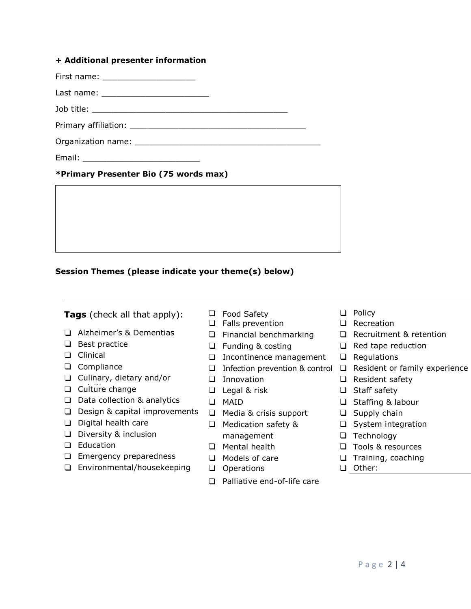### **+ Additional presenter information**

First name: \_\_\_\_\_\_\_\_\_\_\_\_\_\_\_\_\_\_\_

Last name: \_\_\_\_\_\_\_\_\_\_\_\_\_\_\_\_\_\_\_\_\_\_

Job title:

Primary affiliation: \_\_\_\_\_\_\_\_\_\_\_\_\_\_\_\_\_\_\_\_\_\_\_\_\_\_\_\_\_\_\_\_\_\_\_\_

Organization name:

Email: \_\_\_\_\_\_\_\_\_\_\_\_\_\_\_\_\_\_\_\_\_\_\_\_

## **\*Primary Presenter Bio (75 words max)**

**\*Primary Presenter headshot (upload)**

## **Session Themes (please indicate your theme(s) below)**

**Tags** (check all that apply):  $\Box$  Food Safety  $\Box$  Policy  $\Box$  Policy  $\Box$  Recreation

- ❑ Alzheimer's & Dementias ❑ Financial benchmarking ❑ Recruitment & retention
- 

**SESSION DETAILS**

- 
- 
- ❑ Culinary, dietary and/or
- nutrition ❑ Culture change ❑ Legal & risk ❑ Staff safety
- ❑ Data collection & analytics ❑ MAID ❑ Staffing & labour
- ❑ Design & capital improvements ❑ Media & crisis support ❑ Supply chain
- ❑ Digital health care ❑ Medication safety & ❑ System integration
- ❑ Diversity & inclusion management ❑ Technology
- 
- ❑ Emergency preparedness ❑ Models of care ❑ Training, coaching
- ❑ Environmental/housekeeping ❑ Operations ❑ Other:
- 
- $\Box$  Falls prevention
- 
- 
- ❑ Clinical ❑ Incontinence management ❑ Regulations
	-
	-
	-
	-
	-
	-
	-
	-
	-
	-
	- ❑ Palliative end-of-life care
- 
- 
- 
- ❑ Best practice ❑ Funding & costing ❑ Red tape reduction
	-
- ❑ Compliance ❑ Infection prevention & control ❑ Resident or family experience
	- ❑ Innovation ❑ Resident safety
		-
		-
		-
		-
		-
- ❑ Education ❑ Mental health ❑ Tools & resources
	-
	-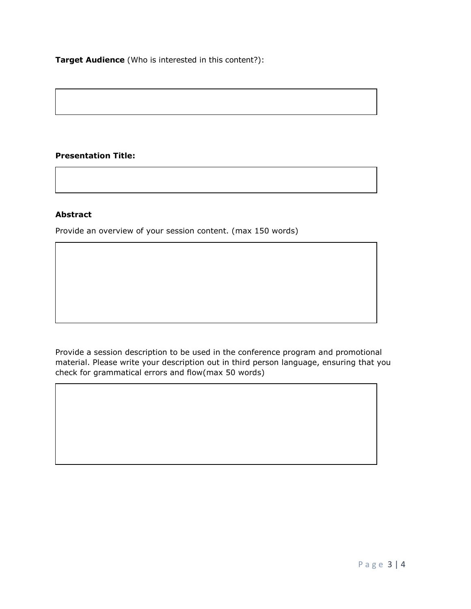**Target Audience** (Who is interested in this content?):

## **Presentation Title:**

### **Abstract**

Provide an overview of your session content. (max 150 words)

Provide a session description to be used in the conference program and promotional material. Please write your description out in third person language, ensuring that you check for grammatical errors and flow(max 50 words)